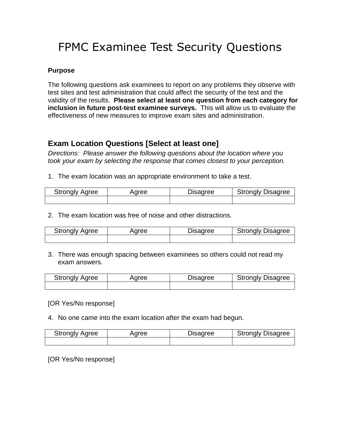# FPMC Examinee Test Security Questions

### **Purpose**

The following questions ask examinees to report on any problems they observe with test sites and test administration that could affect the security of the test and the validity of the results. **Please select at least one question from each category for inclusion in future post-test examinee surveys.** This will allow us to evaluate the effectiveness of new measures to improve exam sites and administration.

## **Exam Location Questions [Select at least one]**

*Directions: Please answer the following questions about the location where you took your exam by selecting the response that comes closest to your perception.*

1. The exam location was an appropriate environment to take a test.

| <b>Strongly Agree</b> | Aaree | Disagree | <b>Strongly Disagree</b> |
|-----------------------|-------|----------|--------------------------|
|                       |       |          |                          |

2. The exam location was free of noise and other distractions.

| <b>Strongly Agree</b> | Agree | Disagree | <b>Strongly Disagree</b> |
|-----------------------|-------|----------|--------------------------|
|                       |       |          |                          |

3. There was enough spacing between examinees so others could not read my exam answers.

| <b>Strongly Agree</b> | Aaree | Disagree | <b>Strongly Disagree</b> |
|-----------------------|-------|----------|--------------------------|
|                       |       |          |                          |

[OR Yes/No response]

4. No one came into the exam location after the exam had begun.

| <b>Strongly Agree</b> | Aaree | Disagree | <b>Strongly Disagree</b> |
|-----------------------|-------|----------|--------------------------|
|                       |       |          |                          |

[OR Yes/No response]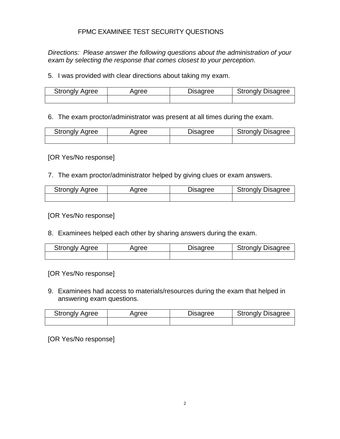### FPMC EXAMINEE TEST SECURITY QUESTIONS

*Directions: Please answer the following questions about the administration of your exam by selecting the response that comes closest to your perception.*

5. I was provided with clear directions about taking my exam.

| <b>Strongly Agree</b> | <b>aree</b> | Disagree | <b>Strongly Disagree</b> |
|-----------------------|-------------|----------|--------------------------|
|                       |             |          |                          |

6. The exam proctor/administrator was present at all times during the exam.

| <b>Strongly Agree</b> | Aaree | Disagree | <b>Strongly Disagree</b> |
|-----------------------|-------|----------|--------------------------|
|                       |       |          |                          |

[OR Yes/No response]

7. The exam proctor/administrator helped by giving clues or exam answers.

| <b>Strongly Agree</b> | Aaree | Disagree | <b>Strongly Disagree</b> |
|-----------------------|-------|----------|--------------------------|
|                       |       |          |                          |

[OR Yes/No response]

8. Examinees helped each other by sharing answers during the exam.

| <b>Strongly Agree</b> | Aaree | Disagree | <b>Strongly Disagree</b> |
|-----------------------|-------|----------|--------------------------|
|                       |       |          |                          |

[OR Yes/No response]

9. Examinees had access to materials/resources during the exam that helped in answering exam questions.

| <b>Strongly Agree</b> | Aaree | Disagree | <b>Strongly Disagree</b> |
|-----------------------|-------|----------|--------------------------|
|                       |       |          |                          |

[OR Yes/No response]